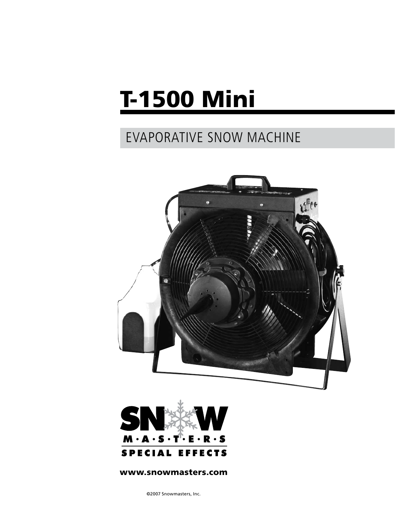# T-1500 Mini

# EVAPORATIVE SNOW MACHINE





#### www.snowmasters.com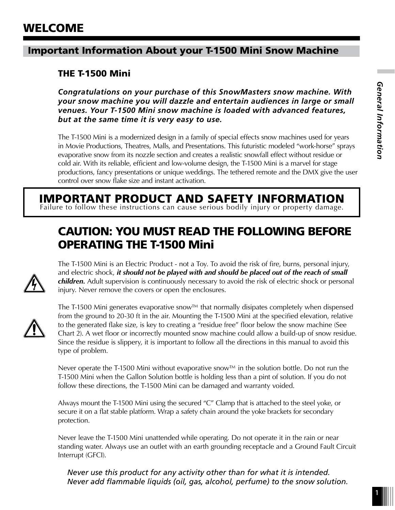## Important Information About your T-1500 Mini Snow Machine

## THE T-1500 Mini

*Congratulations on your purchase of this SnowMasters snow machine. With your snow machine you will dazzle and entertain audiences in large or small venues. Your T-1500 Mini snow machine is loaded with advanced features, but at the same time it is very easy to use.*

The T-1500 Mini is a modernized design in a family of special effects snow machines used for years in Movie Productions, Theatres, Malls, and Presentations. This futuristic modeled "work-horse" sprays evaporative snow from its nozzle section and creates a realistic snowfall effect without residue or cold air. With its reliable, efficient and low-volume design, the T-1500 Mini is a marvel for stage productions, fancy presentations or unique weddings. The tethered remote and the DMX give the user control over snow flake size and instant activation.

# IMPORTANT PRODUCT AND SAFETY INFORMATION

Failure to follow these instructions can cause serious bodily injury or property damage.

# CAUTION: YOU MUST READ THE FOLLOWING BEFORE OPERATING THE T-1500 Mini



The T-1500 Mini is an Electric Product - not a Toy. To avoid the risk of fire, burns, personal injury, and electric shock, *it should not be played with and should be placed out of the reach of small children.* Adult supervision is continuously necessary to avoid the risk of electric shock or personal injury. Never remove the covers or open the enclosures.



The T-1500 Mini generates evaporative snow™ that normally disipates completely when dispensed from the ground to 20-30 ft in the air. Mounting the T-1500 Mini at the specified elevation, relative to the generated flake size, is key to creating a "residue free" floor below the snow machine (See Chart 2). A wet floor or incorrectly mounted snow machine could allow a build-up of snow residue. Since the residue is slippery, it is important to follow all the directions in this manual to avoid this type of problem.

Never operate the T-1500 Mini without evaporative snow™ in the solution bottle. Do not run the T-1500 Mini when the Gallon Solution bottle is holding less than a pint of solution. If you do not follow these directions, the T-1500 Mini can be damaged and warranty voided.

Always mount the T-1500 Mini using the secured "C" Clamp that is attached to the steel yoke, or secure it on a flat stable platform. Wrap a safety chain around the yoke brackets for secondary protection.

Never leave the T-1500 Mini unattended while operating. Do not operate it in the rain or near standing water. Always use an outlet with an earth grounding receptacle and a Ground Fault Circuit Interrupt (GFCI).

*Never use this product for any activity other than for what it is intended. Never add flammable liquids (oil, gas, alcohol, perfume) to the snow solution.*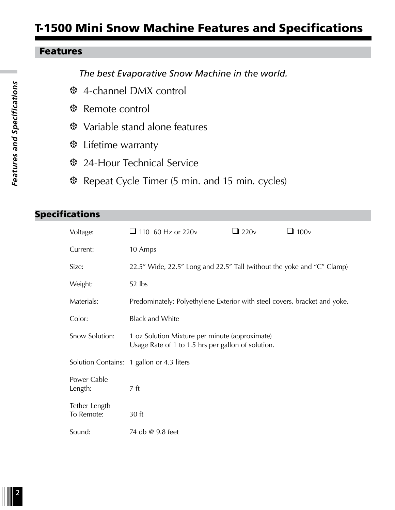# T-1500 Mini Snow Machine Features and Specifications

#### Features

*The best Evaporative Snow Machine in the world.*

- **※ 4-channel DMX control**
- **※ Remote control**
- *\* **Variable stand alone features**
- **※ Lifetime warranty**
- **※ 24-Hour Technical Service**
- **\*** Repeat Cycle Timer (5 min. and 15 min. cycles)

#### Specifications

| Voltage:                    | $\Box$ 110 60 Hz or 220v                                                                             | $\Box$ 220 $v$ | $\Box$ 100 $v$ |  |  |
|-----------------------------|------------------------------------------------------------------------------------------------------|----------------|----------------|--|--|
| Current:                    | 10 Amps                                                                                              |                |                |  |  |
| Size:                       | 22.5" Wide, 22.5" Long and 22.5" Tall (without the yoke and "C" Clamp)                               |                |                |  |  |
| Weight:                     | 52 lbs                                                                                               |                |                |  |  |
| Materials:                  | Predominately: Polyethylene Exterior with steel covers, bracket and yoke.                            |                |                |  |  |
| Color:                      | <b>Black and White</b>                                                                               |                |                |  |  |
| Snow Solution:              | 1 oz Solution Mixture per minute (approximate)<br>Usage Rate of 1 to 1.5 hrs per gallon of solution. |                |                |  |  |
|                             | Solution Contains: 1 gallon or 4.3 liters                                                            |                |                |  |  |
| Power Cable<br>Length:      | 7 <sub>ft</sub>                                                                                      |                |                |  |  |
| Tether Length<br>To Remote: | 30 ft                                                                                                |                |                |  |  |
| Sound:                      | 74 db @ 9.8 feet                                                                                     |                |                |  |  |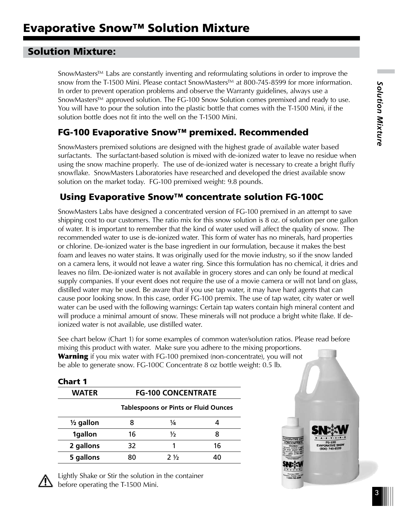## Solution Mixture:

SnowMasters™ Labs are constantly inventing and reformulating solutions in order to improve the snow from the T-1500 Mini. Please contact SnowMasters™ at 800-745-8599 for more information. In order to prevent operation problems and observe the Warranty guidelines, always use a SnowMasters™ approved solution. The FG-100 Snow Solution comes premixed and ready to use. You will have to pour the solution into the plastic bottle that comes with the T-1500 Mini, if the solution bottle does not fit into the well on the T-1500 Mini.

# FG-100 Evaporative Snow™ premixed. Recommended

SnowMasters premixed solutions are designed with the highest grade of available water based surfactants. The surfactant-based solution is mixed with de-ionized water to leave no residue when using the snow machine properly. The use of de-ionized water is necessary to create a bright fluffy snowflake. SnowMasters Laboratories have researched and developed the driest available snow solution on the market today. FG-100 premixed weight: 9.8 pounds.

## Using Evaporative Snow™ concentrate solution FG-100C

SnowMasters Labs have designed a concentrated version of FG-100 premixed in an attempt to save shipping cost to our customers. The ratio mix for this snow solution is 8 oz. of solution per one gallon of water. It is important to remember that the kind of water used will affect the quality of snow. The recommended water to use is de-ionized water. This form of water has no minerals, hard properties or chlorine. De-ionized water is the base ingredient in our formulation, because it makes the best foam and leaves no water stains. It was originally used for the movie industry, so if the snow landed on a camera lens, it would not leave a water ring. Since this formulation has no chemical, it dries and leaves no film. De-ionized water is not available in grocery stores and can only be found at medical supply companies. If your event does not require the use of a movie camera or will not land on glass, distilled water may be used. Be aware that if you use tap water, it may have hard agents that can cause poor looking snow. In this case, order FG-100 premix. The use of tap water, city water or well water can be used with the following warnings: Certain tap waters contain high mineral content and will produce a minimal amount of snow. These minerals will not produce a bright white flake. If deionized water is not available, use distilled water.

See chart below (Chart 1) for some examples of common water/solution ratios. Please read before mixing this product with water. Make sure you adhere to the mixing proportions. **Warning** if you mix water with FG-100 premixed (non-concentrate), you will not be able to generate snow. FG-100C Concentrate 8 oz bottle weight: 0.5 lb.

| <b>Chart 1</b>       |                           |                                             |    |
|----------------------|---------------------------|---------------------------------------------|----|
| <b>WATER</b>         | <b>FG-100 CONCENTRATE</b> |                                             |    |
|                      |                           | <b>Tablespoons or Pints or Fluid Ounces</b> |    |
| $\frac{1}{2}$ gallon | 8                         | ¼                                           |    |
| 1gallon              | 16                        | ⅓                                           | 8  |
| 2 gallons            | 32                        | 1                                           | 16 |
| 5 gallons            | 80                        | $2\frac{1}{2}$                              | 40 |



Lightly Shake or Stir the solution in the container  $\angle$  before operating the T-1500 Mini.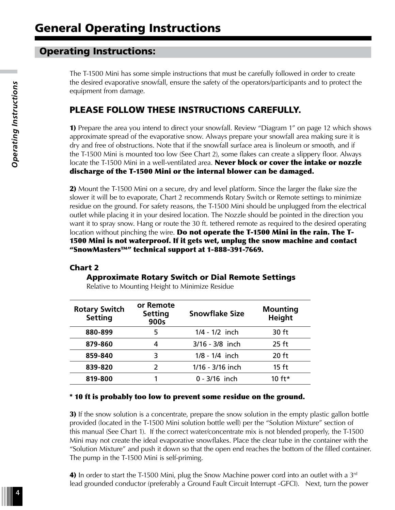## Operating Instructions:

The T-1500 Mini has some simple instructions that must be carefully followed in order to create the desired evaporative snowfall, ensure the safety of the operators/participants and to protect the equipment from damage.

#### PLEASE FOLLOW THESE INSTRUCTIONS CAREFULLY.

1) Prepare the area you intend to direct your snowfall. Review "Diagram 1" on page 12 which shows approximate spread of the evaporative snow. Always prepare your snowfall area making sure it is dry and free of obstructions. Note that if the snowfall surface area is linoleum or smooth, and if the T-1500 Mini is mounted too low (See Chart 2), some flakes can create a slippery floor. Always locate the T-1500 Mini in a well-ventilated area. Never block or cover the intake or nozzle discharge of the T-1500 Mini or the internal blower can be damaged.

2) Mount the T-1500 Mini on a secure, dry and level platform. Since the larger the flake size the slower it will be to evaporate, Chart 2 recommends Rotary Switch or Remote settings to minimize residue on the ground. For safety reasons, the T-1500 Mini should be unplugged from the electrical outlet while placing it in your desired location. The Nozzle should be pointed in the direction you want it to spray snow. Hang or route the 30 ft. tethered remote as required to the desired operating location without pinching the wire. Do not operate the T-1500 Mini in the rain. The T-1500 Mini is not waterproof. If it gets wet, unplug the snow machine and contact "SnowMasters™" technical support at 1-888-391-7669.

#### Chart 2

#### Approximate Rotary Switch or Dial Remote Settings

| <b>Rotary Switch</b><br><b>Setting</b> | or Remote<br><b>Setting</b><br>900s | <b>Snowflake Size</b> | <b>Mounting</b><br><b>Height</b> |
|----------------------------------------|-------------------------------------|-----------------------|----------------------------------|
| 880-899                                | 5                                   | $1/4 - 1/2$ inch      | 30 ft                            |
| 879-860                                | 4                                   | $3/16 - 3/8$ inch     | $25$ ft                          |
| 859-840                                | 3                                   | $1/8 - 1/4$ inch      | $20$ ft                          |
| 839-820                                |                                     | 1/16 - 3/16 inch      | $15$ ft                          |
| 819-800                                |                                     | $0 - 3/16$ inch       | $10 f^{+*}$                      |

Relative to Mounting Height to Minimize Residue

#### \* 10 ft is probably too low to prevent some residue on the ground.

**3)** If the snow solution is a concentrate, prepare the snow solution in the empty plastic gallon bottle provided (located in the T-1500 Mini solution bottle well) per the "Solution Mixture" section of this manual (See Chart 1). If the correct water/concentrate mix is not blended properly, the T-1500 Mini may not create the ideal evaporative snowflakes. Place the clear tube in the container with the "Solution Mixture" and push it down so that the open end reaches the bottom of the filled container. The pump in the T-1500 Mini is self-priming.

4) In order to start the T-1500 Mini, plug the Snow Machine power cord into an outlet with a  $3<sup>rd</sup>$ lead grounded conductor (preferably a Ground Fault Circuit Interrupt -GFCI). Next, turn the power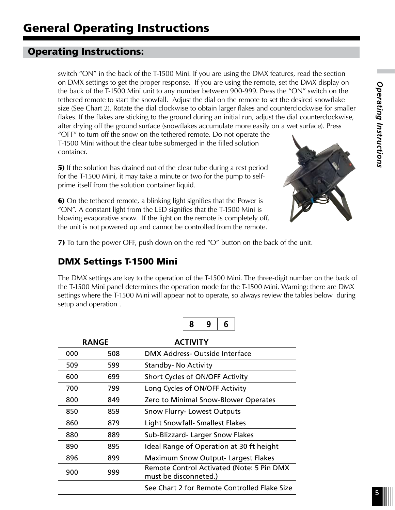# Operating Instructions:

switch "ON" in the back of the T-1500 Mini. If you are using the DMX features, read the section on DMX settings to get the proper response. If you are using the remote, set the DMX display on the back of the T-1500 Mini unit to any number between 900-999. Press the "ON" switch on the tethered remote to start the snowfall. Adjust the dial on the remote to set the desired snowflake size (See Chart 2). Rotate the dial clockwise to obtain larger flakes and counterclockwise for smaller flakes. If the flakes are sticking to the ground during an initial run, adjust the dial counterclockwise, after drying off the ground surface (snowflakes accumulate more easily on a wet surface). Press "OFF" to turn off the snow on the tethered remote. Do not operate the T-1500 Mini without the clear tube submerged in the filled solution container.

5) If the solution has drained out of the clear tube during a rest period for the T-1500 Mini, it may take a minute or two for the pump to selfprime itself from the solution container liquid.

6) On the tethered remote, a blinking light signifies that the Power is "ON". A constant light from the LED signifies that the T-1500 Mini is blowing evaporative snow. If the light on the remote is completely off, the unit is not powered up and cannot be controlled from the remote.



7) To turn the power OFF, push down on the red "O" button on the back of the unit.

# DMX Settings T-1500 Mini

The DMX settings are key to the operation of the T-1500 Mini. The three-digit number on the back of the T-1500 Mini panel determines the operation mode for the T-1500 Mini. Warning: there are DMX settings where the T-1500 Mini will appear not to operate, so always review the tables below during setup and operation .

|--|--|--|--|

| <b>RANGE</b> |     | <b>ACTIVITY</b>                                                    |
|--------------|-----|--------------------------------------------------------------------|
| 000          | 508 | DMX Address- Outside Interface                                     |
| 509          | 599 | <b>Standby-No Activity</b>                                         |
| 600          | 699 | Short Cycles of ON/OFF Activity                                    |
| 700          | 799 | Long Cycles of ON/OFF Activity                                     |
| 800          | 849 | Zero to Minimal Snow-Blower Operates                               |
| 850          | 859 | <b>Snow Flurry- Lowest Outputs</b>                                 |
| 860          | 879 | <b>Light Snowfall- Smallest Flakes</b>                             |
| 880          | 889 | Sub-Blizzard-Larger Snow Flakes                                    |
| 890          | 895 | Ideal Range of Operation at 30 ft height                           |
| 896          | 899 | <b>Maximum Snow Output-Largest Flakes</b>                          |
| 900          | 999 | Remote Control Activated (Note: 5 Pin DMX<br>must be disconneted.) |
|              |     | See Chart 2 for Remote Controlled Flake Size                       |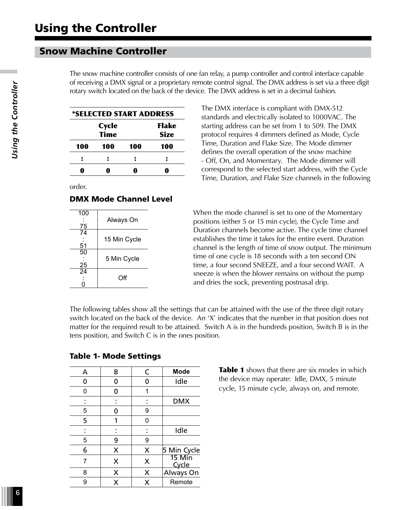#### Snow Machine Controller

The snow machine controller consists of one fan relay, a pump controller and control interface capable of receiving a DMX signal or a proprietary remote control signal. The DMX address is set via a three digit rotary switch located on the back of the device. The DMX address is set in a decimal fashion.

| *SELECTED START ADDRESS |              |     |              |  |
|-------------------------|--------------|-----|--------------|--|
|                         | <b>Cycle</b> |     | <b>Flake</b> |  |
|                         | <b>Size</b>  |     |              |  |
| <b>100</b>              | 100          | 100 | <b>100</b>   |  |
|                         |              |     |              |  |
|                         |              |     |              |  |

order.

#### DMX Mode Channel Level

| Always On    |
|--------------|
| 15 Min Cycle |
| 5 Min Cycle  |
| Ωff          |
|              |

The DMX interface is compliant with DMX-512 standards and electrically isolated to 1000VAC. The starting address can be set from 1 to 509. The DMX protocol requires 4 dimmers defined as Mode, Cycle Time, Duration and Flake Size. The Mode dimmer defines the overall operation of the snow machine - Off, On, and Momentary. The Mode dimmer will correspond to the selected start address, with the Cycle Time, Duration, and Flake Size channels in the following

When the mode channel is set to one of the Momentary positions (either 5 or 15 min cycle), the Cycle Time and Duration channels become active. The cycle time channel establishes the time it takes for the entire event. Duration channel is the length of time of snow output. The minimum time of one cycle is 18 seconds with a ten second ON time, a four second SNEEZE, and a four second WAIT. A sneeze is when the blower remains on without the pump and dries the sock, preventing postnasal drip.

The following tables show all the settings that can be attained with the use of the three digit rotary switch located on the back of the device. An 'X' indicates that the number in that position does not matter for the required result to be attained. Switch A is in the hundreds position, Switch B is in the tens position, and Switch C is in the ones position.

| A | B | C | Mode            |
|---|---|---|-----------------|
|   | 0 | ŋ | Idle            |
| O | 0 | 1 |                 |
|   |   |   | <b>DMX</b>      |
| 5 | ŋ | 9 |                 |
| 5 |   | 0 |                 |
|   |   |   | Idle            |
| 5 | 9 | 9 |                 |
| 6 | X | X | 5 Min Cycle     |
| 7 | X | X | 15 Min<br>Cycle |
| 8 | X | X | Always On       |
| g | x | x | Remote          |

#### Table 1- Mode Settings

**Table 1** shows that there are six modes in which the device may operate: Idle, DMX, 5 minute cycle, 15 minute cycle, always on, and remote.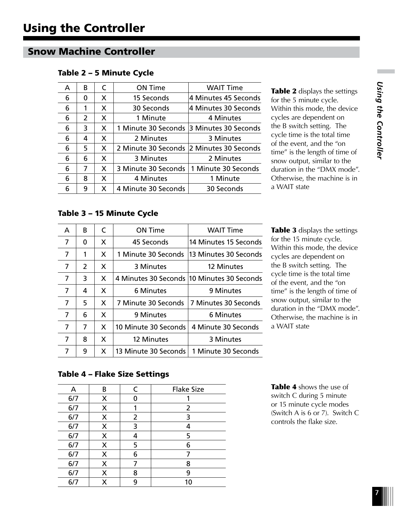#### Snow Machine Controller

| A | R | C | <b>ON Time</b>      | <b>WAIT Time</b>     |
|---|---|---|---------------------|----------------------|
| 6 | 0 | X | 15 Seconds          | 4 Minutes 45 Seconds |
| 6 | 1 | X | 30 Seconds          | 4 Minutes 30 Seconds |
| 6 | 2 | X | 1 Minute            | 4 Minutes            |
| 6 | 3 | X | 1 Minute 30 Seconds | 3 Minutes 30 Seconds |
| 6 | 4 | X | 2 Minutes           | 3 Minutes            |
| 6 | 5 | X | 2 Minute 30 Seconds | 2 Minutes 30 Seconds |
| 6 | 6 | X | 3 Minutes           | 2 Minutes            |
| 6 | 7 | X | 3 Minute 30 Seconds | 1 Minute 30 Seconds  |
| 6 | 8 | X | 4 Minutes           | 1 Minute             |
| 6 | 9 | X | 4 Minute 30 Seconds | 30 Seconds           |
|   |   |   |                     |                      |

#### Table 2 – 5 Minute Cycle

Table 2 displays the settings for the 5 minute cycle. Within this mode, the device cycles are dependent on the B switch setting. The cycle time is the total time of the event, and the "on time" is the length of time of snow output, similar to the duration in the "DMX mode". Otherwise, the machine is in a WAIT state

#### Table 3 – 15 Minute Cycle

| A | R | C | ON Time              | <b>WAIT Time</b>                           |
|---|---|---|----------------------|--------------------------------------------|
| 7 | 0 | X | 45 Seconds           | 14 Minutes 15 Seconds                      |
| 7 | 1 | X | 1 Minute 30 Seconds  | 13 Minutes 30 Seconds                      |
| 7 | 2 | X | 3 Minutes            | 12 Minutes                                 |
| 7 | 3 | X |                      | 4 Minutes 30 Seconds 10 Minutes 30 Seconds |
| 7 | 4 | X | 6 Minutes            | 9 Minutes                                  |
| 7 | 5 | X | 7 Minute 30 Seconds  | 7 Minutes 30 Seconds                       |
| 7 | 6 | X | 9 Minutes            | 6 Minutes                                  |
| 7 | 7 | X | 10 Minute 30 Seconds | 4 Minute 30 Seconds                        |
| 7 | 8 | X | 12 Minutes           | 3 Minutes                                  |
| 7 | 9 | X | 13 Minute 30 Seconds | 1 Minute 30 Seconds                        |

Table 3 displays the settings for the 15 minute cycle. Within this mode, the device cycles are dependent on the B switch setting. The cycle time is the total time of the event, and the "on time" is the length of time of snow output, similar to the duration in the "DMX mode". Otherwise, the machine is in a WAIT state

#### Table 4 – Flake Size Settings

| А   | В | $\epsilon$ | <b>Flake Size</b> |
|-----|---|------------|-------------------|
| 6/7 | X | O          |                   |
| 6/7 | X | 1          | $\overline{2}$    |
| 6/7 | X | 2          | 3                 |
| 6/7 | X | 3          | 4                 |
| 6/7 | X | 4          | 5                 |
| 6/7 | X | 5          | 6                 |
| 6/7 | X | 6          |                   |
| 6/7 | X | 7          | 8                 |
| 6/7 | X | 8          | 9                 |
| 6/7 | X | 9          | 10                |
|     |   |            |                   |

Table 4 shows the use of switch C during 5 minute or 15 minute cycle modes (Switch A is 6 or 7). Switch C controls the flake size.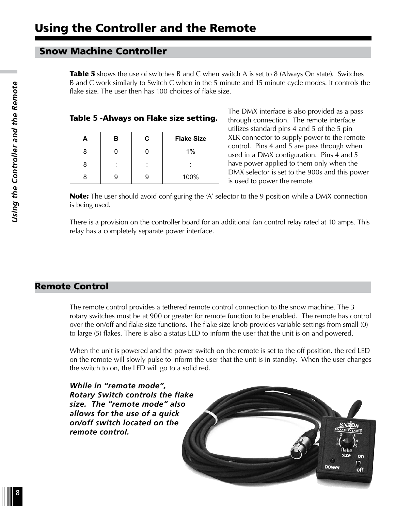#### Snow Machine Controller

Table 5 shows the use of switches B and C when switch A is set to 8 (Always On state). Switches B and C work similarly to Switch C when in the 5 minute and 15 minute cycle modes. It controls the flake size. The user then has 100 choices of flake size.

|   | в | C. | <b>Flake Size</b> |
|---|---|----|-------------------|
| 8 |   |    | 1%                |
|   |   |    |                   |
|   |   |    | 100%              |

Table 5 -Always on Flake size setting.

The DMX interface is also provided as a pass through connection. The remote interface utilizes standard pins 4 and 5 of the 5 pin XLR connector to supply power to the remote control. Pins 4 and 5 are pass through when used in a DMX configuration. Pins 4 and 5 have power applied to them only when the DMX selector is set to the 900s and this power is used to power the remote.

**Note:** The user should avoid configuring the 'A' selector to the 9 position while a DMX connection is being used.

There is a provision on the controller board for an additional fan control relay rated at 10 amps. This relay has a completely separate power interface.

#### Remote Control

The remote control provides a tethered remote control connection to the snow machine. The 3 rotary switches must be at 900 or greater for remote function to be enabled. The remote has control over the on/off and flake size functions. The flake size knob provides variable settings from small (0) to large (5) flakes. There is also a status LED to inform the user that the unit is on and powered.

When the unit is powered and the power switch on the remote is set to the off position, the red LED on the remote will slowly pulse to inform the user that the unit is in standby. When the user changes the switch to on, the LED will go to a solid red.

*While in "remote mode", Rotary Switch controls the flake size. The "remote mode" also allows for the use of a quick on/off switch located on the remote control.*

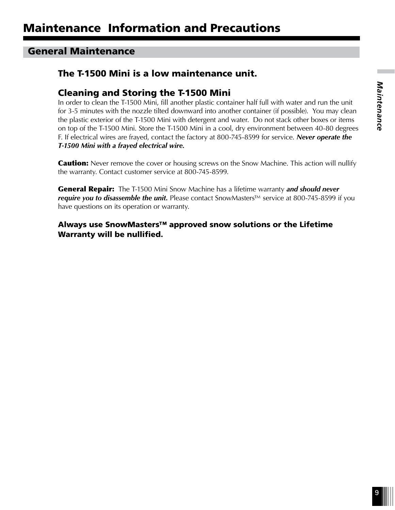#### General Maintenance

### The T-1500 Mini is a low maintenance unit.

#### Cleaning and Storing the T-1500 Mini

In order to clean the T-1500 Mini, fill another plastic container half full with water and run the unit for 3-5 minutes with the nozzle tilted downward into another container (if possible). You may clean the plastic exterior of the T-1500 Mini with detergent and water. Do not stack other boxes or items on top of the T-1500 Mini. Store the T-1500 Mini in a cool, dry environment between 40-80 degrees F. If electrical wires are frayed, contact the factory at 800-745-8599 for service. *Never operate the T-1500 Mini with a frayed electrical wire.*

**Caution:** Never remove the cover or housing screws on the Snow Machine. This action will nullify the warranty. Contact customer service at 800-745-8599.

General Repair: The T-1500 Mini Snow Machine has a lifetime warranty *and should never*  require you to disassemble the unit. Please contact SnowMasters<sup>™</sup> service at 800-745-8599 if you have questions on its operation or warranty.

Always use SnowMasters™ approved snow solutions or the Lifetime Warranty will be nullified.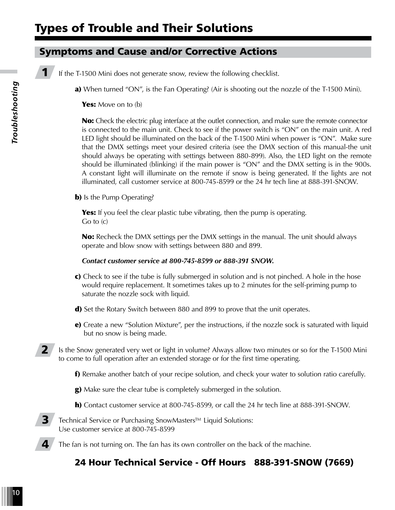# Types of Trouble and Their Solutions

## Symptoms and Cause and/or Corrective Actions

**1** If the T-1500 Mini does not generate snow, review the following checklist.

a) When turned "ON", is the Fan Operating? (Air is shooting out the nozzle of the T-1500 Mini).

Yes: Move on to (b)

No: Check the electric plug interface at the outlet connection, and make sure the remote connector is connected to the main unit. Check to see if the power switch is "ON" on the main unit. A red LED light should be illuminated on the back of the T-1500 Mini when power is "ON". Make sure that the DMX settings meet your desired criteria (see the DMX section of this manual-the unit should always be operating with settings between 880-899). Also, the LED light on the remote should be illuminated (blinking) if the main power is "ON" and the DMX setting is in the 900s. A constant light will illuminate on the remote if snow is being generated. If the lights are not illuminated, call customer service at 800-745-8599 or the 24 hr tech line at 888-391-SNOW.

**b**) Is the Pump Operating?

**Yes:** If you feel the clear plastic tube vibrating, then the pump is operating. Go to (c)

No: Recheck the DMX settings per the DMX settings in the manual. The unit should always operate and blow snow with settings between 880 and 899.

#### *Contact customer service at 800-745-8599 or 888-391 SNOW.*

- c) Check to see if the tube is fully submerged in solution and is not pinched. A hole in the hose would require replacement. It sometimes takes up to 2 minutes for the self-priming pump to saturate the nozzle sock with liquid.
- d) Set the Rotary Switch between 880 and 899 to prove that the unit operates.
- e) Create a new "Solution Mixture", per the instructions, if the nozzle sock is saturated with liquid but no snow is being made.

2 Is the Snow generated very wet or light in volume? Always allow two minutes or so for the T-1500 Mini to come to full operation after an extended storage or for the first time operating.

- f) Remake another batch of your recipe solution, and check your water to solution ratio carefully.
- g) Make sure the clear tube is completely submerged in the solution.
- h) Contact customer service at 800-745-8599, or call the 24 hr tech line at 888-391-SNOW.

3 Technical Service or Purchasing SnowMasters™ Liquid Solutions: Use customer service at 800-745-8599

The fan is not turning on. The fan has its own controller on the back of the machine.

## 24 Hour Technical Service - Off Hours 888-391-SNOW (7669)

4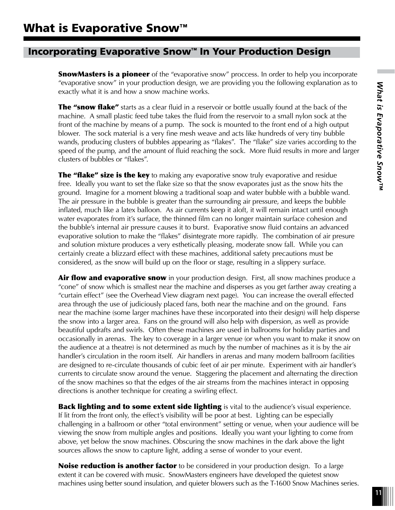#### Incorporating Evaporative Snow™ In Your Production Design

**SnowMasters is a pioneer** of the "evaporative snow" proccess. In order to help you incorporate "evaporative snow" in your production design, we are providing you the following explanation as to exactly what it is and how a snow machine works.

**The "snow flake"** starts as a clear fluid in a reservoir or bottle usually found at the back of the machine. A small plastic feed tube takes the fluid from the reservoir to a small nylon sock at the front of the machine by means of a pump. The sock is mounted to the front end of a high output blower. The sock material is a very fine mesh weave and acts like hundreds of very tiny bubble wands, producing clusters of bubbles appearing as "flakes". The "flake" size varies according to the speed of the pump, and the amount of fluid reaching the sock. More fluid results in more and larger clusters of bubbles or "flakes".

**The "flake" size is the key** to making any evaporative snow truly evaporative and residue free. Ideally you want to set the flake size so that the snow evaporates just as the snow hits the ground. Imagine for a moment blowing a traditional soap and water bubble with a bubble wand. The air pressure in the bubble is greater than the surrounding air pressure, and keeps the bubble inflated, much like a latex balloon. As air currents keep it aloft, it will remain intact until enough water evaporates from it's surface, the thinned film can no longer maintain surface cohesion and the bubble's internal air pressure causes it to burst. Evaporative snow fluid contains an advanced evaporative solution to make the "flakes" disintegrate more rapidly. The combination of air presure and solution mixture produces a very esthetically pleasing, moderate snow fall. While you can certainly create a blizzard effect with these machines, additional safety precautions must be considered, as the snow will build up on the floor or stage, resulting in a slippery surface.

**Air flow and evaporative snow** in your production design. First, all snow machines produce a "cone" of snow which is smallest near the machine and disperses as you get farther away creating a "curtain effect" (see the Overhead View diagram next page). You can increase the overall effected area through the use of judiciously placed fans, both near the machine and on the ground. Fans near the machine (some larger machines have these incorporated into their design) will help disperse the snow into a larger area. Fans on the ground will also help with dispersion, as well as provide beautiful updrafts and swirls. Often these machines are used in ballrooms for holiday parties and occasionally in arenas. The key to coverage in a larger venue (or when you want to make it snow on the audience at a theatre) is not determined as much by the number of machines as it is by the air handler's circulation in the room itself. Air handlers in arenas and many modern ballroom facilities are designed to re-circulate thousands of cubic feet of air per minute. Experiment with air handler's currents to circulate snow around the venue. Staggering the placement and alternating the direction of the snow machines so that the edges of the air streams from the machines interact in opposing directions is another technique for creating a swirling effect.

**Back lighting and to some extent side lighting** is vital to the audience's visual experience. If lit from the front only, the effect's visibility will be poor at best. Lighting can be especially challenging in a ballroom or other "total environment" setting or venue, when your audience will be viewing the snow from multiple angles and positions. Ideally you want your lighting to come from above, yet below the snow machines. Obscuring the snow machines in the dark above the light sources allows the snow to capture light, adding a sense of wonder to your event.

**Noise reduction is another factor** to be considered in your production design. To a large extent it can be covered with music. SnowMasters engineers have developed the quietest snow machines using better sound insulation, and quieter blowers such as the T-1600 Snow Machines series.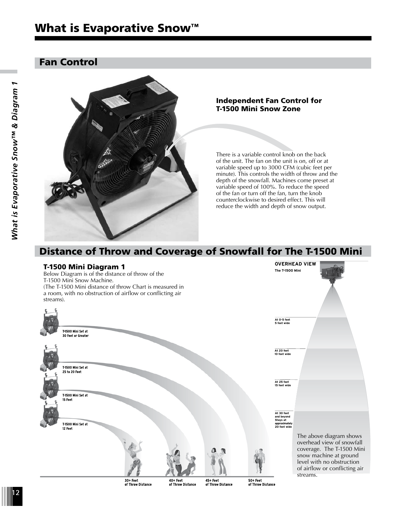# What is Evaporative Snow<sup>™</sup>

#### Fan Control



#### Independent Fan Control for T-1500 Mini Snow Zone

There is a variable control knob on the back of the unit. The fan on the unit is on, off or at variable speed up to 3000 CFM (cubic feet per minute). This controls the width of throw and the depth of the snowfall. Machines come preset at variable speed of 100%. To reduce the speed of the fan or turn off the fan, turn the knob counterclockwise to desired effect. This will reduce the width and depth of snow output.

> **OVERHEAD VIEW The T-1500 Mini**

# Distance of Throw and Coverage of Snowfall for The T-1500 Mini



Below Diagram is of the distance of throw of the T-1500 Mini Snow Machine. (The T-1500 Mini distance of throw Chart is measured in a room, with no obstruction of airflow or conflicting air streams).